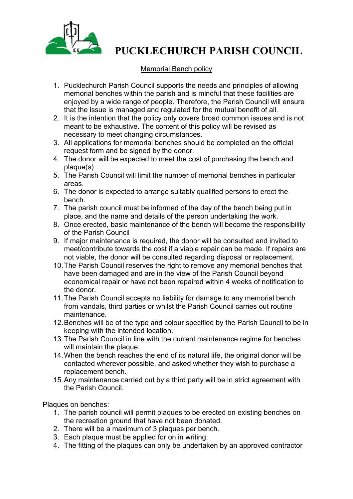

## **PUCKLECHURCH PARISH COUNCIL**

## Memorial Bench policy

- 1. Pucklechurch Parish Council supports the needs and principles of allowing memorial benches within the parish and is mindful that these facilities are enjoyed by a wide range of people. Therefore, the Parish Council will ensure that the issue is managed and regulated for the mutual benefit of all.
- 2. It is the intention that the policy only covers broad common issues and is not meant to be exhaustive. The content of this policy will be revised as necessary to meet changing circumstances.
- 3. All applications for memorial benches should be completed on the official request form and be signed by the donor.
- 4. The donor will be expected to meet the cost of purchasing the bench and plaque(s)
- 5. The Parish Council will limit the number of memorial benches in particular areas.
- 6. The donor is expected to arrange suitably qualified persons to erect the bench.
- 7. The parish council must be informed of the day of the bench being put in place, and the name and details of the person undertaking the work.
- 8. Once erected, basic maintenance of the bench will become the responsibility of the Parish Council
- 9. If major maintenance is required, the donor will be consulted and invited to meet/contribute towards the cost if a viable repair can be made. If repairs are not viable, the donor will be consulted regarding disposal or replacement.
- 10.The Parish Council reserves the right to remove any memorial benches that have been damaged and are in the view of the Parish Council beyond economical repair or have not been repaired within 4 weeks of notification to the donor.
- 11.The Parish Council accepts no liability for damage to any memorial bench from vandals, third parties or whilst the Parish Council carries out routine maintenance.
- 12.Benches will be of the type and colour specified by the Parish Council to be in keeping with the intended location.
- 13.The Parish Council in line with the current maintenance regime for benches will maintain the plaque.
- 14.When the bench reaches the end of its natural life, the original donor will be contacted wherever possible, and asked whether they wish to purchase a replacement bench.
- 15.Any maintenance carried out by a third party will be in strict agreement with the Parish Council.

Plaques on benches:

- 1. The parish council will permit plaques to be erected on existing benches on the recreation ground that have not been donated.
- 2. There will be a maximum of 3 plaques per bench.
- 3. Each plaque must be applied for on in writing.
- 4. The fitting of the plaques can only be undertaken by an approved contractor